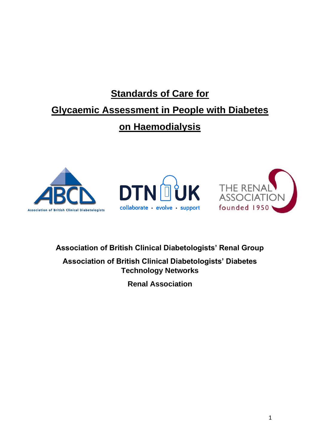# **Standards of Care for Glycaemic Assessment in People with Diabetes on Haemodialysis**







**Association of British Clinical Diabetologists' Renal Group**

**Association of British Clinical Diabetologists' Diabetes Technology Networks**

**Renal Association**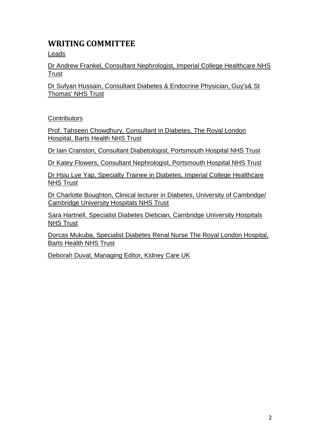# **WRITING COMMITTEE**

Leads

Dr Andrew Frankel, Consultant Nephrologist, Imperial College Healthcare NHS **Trust** 

Dr Sufyan Hussain, Consultant Diabetes & Endocrine Physician, Guy's& St Thomas' NHS Trust

# **Contributors**

Prof. Tahseen Chowdhury, Consultant in Diabetes, The Royal London Hospital, Barts Health NHS Trust

Dr Iain Cranston, Consultant Diabetologist, Portsmouth Hospital NHS Trust

Dr Katey Flowers, Consultant Nephrologist, Portsmouth Hospital NHS Trust

Dr Hsiu Lye Yap, Specialty Trainee in Diabetes, Imperial College Healthcare NHS Trust

Dr Charlotte Boughton, Clinical lecturer in Diabetes, University of Cambridge/ Cambridge University Hospitals NHS Trust

Sara Hartnell, Specialist Diabetes Dietician, Cambridge University Hospitals **NHS Trust** 

Dorcas Mukuba, Specialist Diabetes Renal Nurse The Royal London Hospital, Barts Health NHS Trust

Deborah Duval, Managing Editor, Kidney Care UK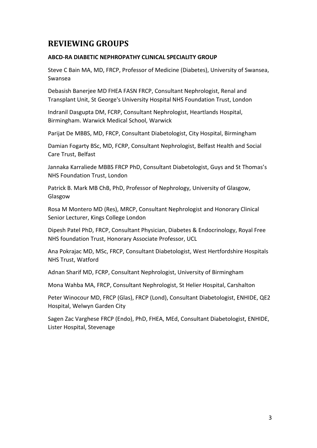# **REVIEWING GROUPS**

#### **ABCD-RA DIABETIC NEPHROPATHY CLINICAL SPECIALITY GROUP**

Steve C Bain MA, MD, FRCP, Professor of Medicine (Diabetes), University of Swansea, Swansea

Debasish Banerjee MD FHEA FASN FRCP, Consultant Nephrologist, Renal and Transplant Unit, St George's University Hospital NHS Foundation Trust, London

Indranil Dasgupta DM, FCRP, Consultant Nephrologist, Heartlands Hospital, Birmingham. Warwick Medical School, Warwick

Parijat De MBBS, MD, FRCP, Consultant Diabetologist, City Hospital, Birmingham

Damian Fogarty BSc, MD, FCRP, Consultant Nephrologist, Belfast Health and Social Care Trust, Belfast

Jannaka Karraliede MBBS FRCP PhD, Consultant Diabetologist, Guys and St Thomas's NHS Foundation Trust, London

Patrick B. Mark MB ChB, PhD, Professor of Nephrology, University of Glasgow, Glasgow

Rosa M Montero MD (Res), MRCP, Consultant Nephrologist and Honorary Clinical Senior Lecturer, Kings College London

Dipesh Patel PhD, FRCP, Consultant Physician, Diabetes & Endocrinology, Royal Free NHS foundation Trust, Honorary Associate Professor, UCL

Ana Pokrajac MD, MSc, FRCP, Consultant Diabetologist, West Hertfordshire Hospitals NHS Trust, Watford

Adnan Sharif MD, FCRP, Consultant Nephrologist, University of Birmingham

Mona Wahba MA, FRCP, Consultant Nephrologist, St Helier Hospital, Carshalton

Peter Winocour MD, FRCP (Glas), FRCP (Lond), Consultant Diabetologist, ENHIDE, QE2 Hospital, Welwyn Garden City

Sagen Zac Varghese FRCP (Endo), PhD, FHEA, MEd, Consultant Diabetologist, ENHIDE, Lister Hospital, Stevenage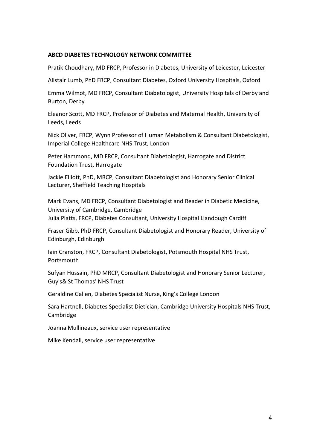#### **ABCD DIABETES TECHNOLOGY NETWORK COMMITTEE**

Pratik Choudhary, MD FRCP, Professor in Diabetes, University of Leicester, Leicester

Alistair Lumb, PhD FRCP, Consultant Diabetes, Oxford University Hospitals, Oxford

Emma Wilmot, MD FRCP, Consultant Diabetologist, University Hospitals of Derby and Burton, Derby

Eleanor Scott, MD FRCP, Professor of Diabetes and Maternal Health, University of Leeds, Leeds

Nick Oliver, FRCP, Wynn Professor of Human Metabolism & Consultant Diabetologist, Imperial College Healthcare NHS Trust, London

Peter Hammond, MD FRCP, Consultant Diabetologist, Harrogate and District Foundation Trust, Harrogate

Jackie Elliott, PhD, MRCP, Consultant Diabetologist and Honorary Senior Clinical Lecturer, Sheffield Teaching Hospitals

Mark Evans, MD FRCP, Consultant Diabetologist and Reader in Diabetic Medicine, University of Cambridge, Cambridge Julia Platts, FRCP, Diabetes Consultant, University Hospital Llandough Cardiff

Fraser Gibb, PhD FRCP, Consultant Diabetologist and Honorary Reader, University of Edinburgh, Edinburgh

Iain Cranston, FRCP, Consultant Diabetologist, Potsmouth Hospital NHS Trust, Portsmouth

Sufyan Hussain, PhD MRCP, Consultant Diabetologist and Honorary Senior Lecturer, Guy's& St Thomas' NHS Trust

Geraldine Gallen, Diabetes Specialist Nurse, King's College London

Sara Hartnell, Diabetes Specialist Dietician, Cambridge University Hospitals NHS Trust, Cambridge

Joanna Mullineaux, service user representative

Mike Kendall, service user representative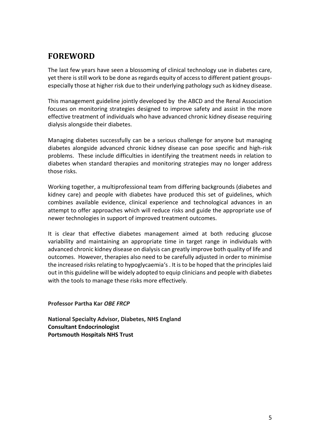# **FOREWORD**

The last few years have seen a blossoming of clinical technology use in diabetes care, yet there is still work to be done as regards equity of access to different patient groupsespecially those at higher risk due to their underlying pathology such as kidney disease.

This management guideline jointly developed by the ABCD and the Renal Association focuses on monitoring strategies designed to improve safety and assist in the more effective treatment of individuals who have advanced chronic kidney disease requiring dialysis alongside their diabetes.

Managing diabetes successfully can be a serious challenge for anyone but managing diabetes alongside advanced chronic kidney disease can pose specific and high-risk problems. These include difficulties in identifying the treatment needs in relation to diabetes when standard therapies and monitoring strategies may no longer address those risks.

Working together, a multiprofessional team from differing backgrounds (diabetes and kidney care) and people with diabetes have produced this set of guidelines, which combines available evidence, clinical experience and technological advances in an attempt to offer approaches which will reduce risks and guide the appropriate use of newer technologies in support of improved treatment outcomes.

It is clear that effective diabetes management aimed at both reducing glucose variability and maintaining an appropriate time in target range in individuals with advanced chronic kidney disease on dialysis can greatly improve both quality of life and outcomes. However, therapies also need to be carefully adjusted in order to minimise the increased risks relating to hypoglycaemia's . It is to be hoped that the principles laid out in this guideline will be widely adopted to equip clinicians and people with diabetes with the tools to manage these risks more effectively.

**Professor Partha Kar** *OBE FRCP*

**National Specialty Advisor, Diabetes, NHS England Consultant Endocrinologist Portsmouth Hospitals NHS Trust**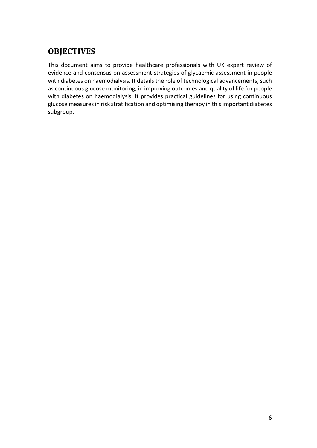# **OBJECTIVES**

This document aims to provide healthcare professionals with UK expert review of evidence and consensus on assessment strategies of glycaemic assessment in people with diabetes on haemodialysis. It details the role of technological advancements, such as continuous glucose monitoring, in improving outcomes and quality of life for people with diabetes on haemodialysis. It provides practical guidelines for using continuous glucose measures in risk stratification and optimising therapy in this important diabetes subgroup.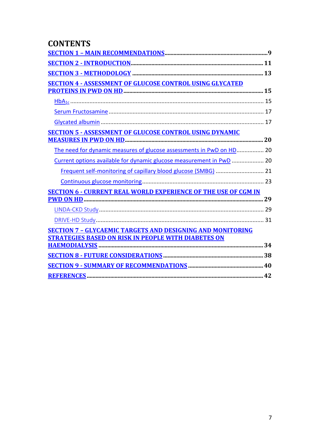# **CONTENTS**

| <b>SECTION 4 - ASSESSMENT OF GLUCOSE CONTROL USING GLYCATED</b>       |  |
|-----------------------------------------------------------------------|--|
|                                                                       |  |
|                                                                       |  |
|                                                                       |  |
|                                                                       |  |
| <b>SECTION 5 - ASSESSMENT OF GLUCOSE CONTROL USING DYNAMIC</b>        |  |
|                                                                       |  |
| The need for dynamic measures of glucose assessments in PwD on HD 20  |  |
| Current options available for dynamic glucose measurement in PwD  20  |  |
| Frequent self-monitoring of capillary blood glucose (SMBG)  21        |  |
|                                                                       |  |
| <b>SECTION 6 - CURRENT REAL WORLD EXPERIENCE OF THE USE OF CGM IN</b> |  |
|                                                                       |  |
|                                                                       |  |
|                                                                       |  |
| <b>SECTION 7 - GLYCAEMIC TARGETS AND DESIGNING AND MONITORING</b>     |  |
| <b>STRATEGIES BASED ON RISK IN PEOPLE WITH DIABETES ON</b>            |  |
|                                                                       |  |
|                                                                       |  |
|                                                                       |  |
|                                                                       |  |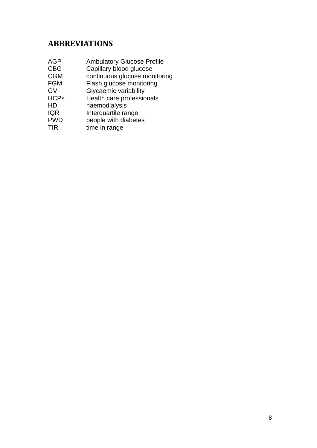# <span id="page-7-0"></span>**ABBREVIATIONS**

| AGP         | <b>Ambulatory Glucose Profile</b> |
|-------------|-----------------------------------|
| <b>CBG</b>  | Capillary blood glucose           |
| <b>CGM</b>  | continuous glucose monitoring     |
| <b>FGM</b>  | Flash glucose monitoring          |
| GV          | Glycaemic variability             |
| <b>HCPs</b> | Health care professionals         |
| HD          | haemodialysis                     |
| <b>IQR</b>  | Interquartile range               |
| <b>PWD</b>  | people with diabetes              |
| TIR         | time in range                     |
|             |                                   |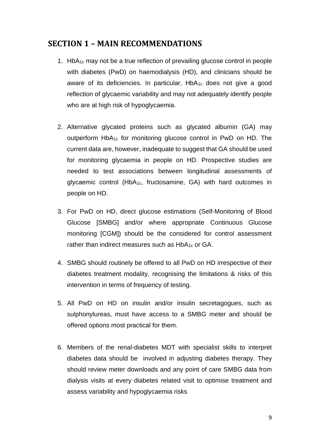# **SECTION 1 – MAIN RECOMMENDATIONS**

- 1. HbA1c may not be a true reflection of prevailing glucose control in people with diabetes (PwD) on haemodialysis (HD), and clinicians should be aware of its deficiencies. In particular,  $HbA_{1c}$  does not give a good reflection of glycaemic variability and may not adequately identify people who are at high risk of hypoglycaemia.
- 2. Alternative glycated proteins such as glycated albumin (GA) may outperform HbA1c for monitoring glucose control in PwD on HD. The current data are, however, inadequate to suggest that GA should be used for monitoring glycaemia in people on HD. Prospective studies are needed to test associations between longitudinal assessments of glycaemic control (HbA1c, fructosamine, GA) with hard outcomes in people on HD.
- 3. For PwD on HD, direct glucose estimations (Self-Monitoring of Blood Glucose [SMBG] and/or where appropriate Continuous Glucose monitoring [CGM]) should be the considered for control assessment rather than indirect measures such as  $HbA_{1c}$  or GA.
- 4. SMBG should routinely be offered to all PwD on HD irrespective of their diabetes treatment modality, recognising the limitations & risks of this intervention in terms of frequency of testing.
- 5. All PwD on HD on insulin and/or insulin secretagogues, such as sulphonylureas, must have access to a SMBG meter and should be offered options most practical for them.
- 6. Members of the renal-diabetes MDT with specialist skills to interpret diabetes data should be involved in adjusting diabetes therapy. They should review meter downloads and any point of care SMBG data from dialysis visits at every diabetes related visit to optimise treatment and assess variability and hypoglycaemia risks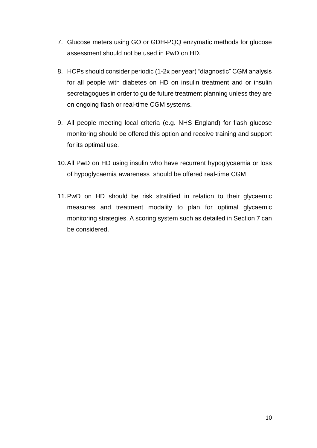- 7. Glucose meters using GO or GDH-PQQ enzymatic methods for glucose assessment should not be used in PwD on HD.
- 8. HCPs should consider periodic (1-2x per year) "diagnostic" CGM analysis for all people with diabetes on HD on insulin treatment and or insulin secretagogues in order to guide future treatment planning unless they are on ongoing flash or real-time CGM systems.
- 9. All people meeting local criteria (e.g. NHS England) for flash glucose monitoring should be offered this option and receive training and support for its optimal use.
- 10.All PwD on HD using insulin who have recurrent hypoglycaemia or loss of hypoglycaemia awareness should be offered real-time CGM
- 11.PwD on HD should be risk stratified in relation to their glycaemic measures and treatment modality to plan for optimal glycaemic monitoring strategies. A scoring system such as detailed in Section 7 can be considered.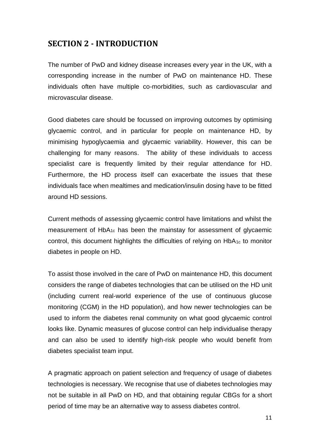# <span id="page-10-0"></span>**SECTION 2 - INTRODUCTION**

The number of PwD and kidney disease increases every year in the UK, with a corresponding increase in the number of PwD on maintenance HD. These individuals often have multiple co-morbidities, such as cardiovascular and microvascular disease.

Good diabetes care should be focussed on improving outcomes by optimising glycaemic control, and in particular for people on maintenance HD, by minimising hypoglycaemia and glycaemic variability. However, this can be challenging for many reasons. The ability of these individuals to access specialist care is frequently limited by their regular attendance for HD. Furthermore, the HD process itself can exacerbate the issues that these individuals face when mealtimes and medication/insulin dosing have to be fitted around HD sessions.

Current methods of assessing glycaemic control have limitations and whilst the measurement of HbA1c has been the mainstay for assessment of glycaemic control, this document highlights the difficulties of relying on HbA<sub>1c</sub> to monitor diabetes in people on HD.

To assist those involved in the care of PwD on maintenance HD, this document considers the range of diabetes technologies that can be utilised on the HD unit (including current real-world experience of the use of continuous glucose monitoring (CGM) in the HD population), and how newer technologies can be used to inform the diabetes renal community on what good glycaemic control looks like. Dynamic measures of glucose control can help individualise therapy and can also be used to identify high-risk people who would benefit from diabetes specialist team input.

A pragmatic approach on patient selection and frequency of usage of diabetes technologies is necessary. We recognise that use of diabetes technologies may not be suitable in all PwD on HD, and that obtaining regular CBGs for a short period of time may be an alternative way to assess diabetes control.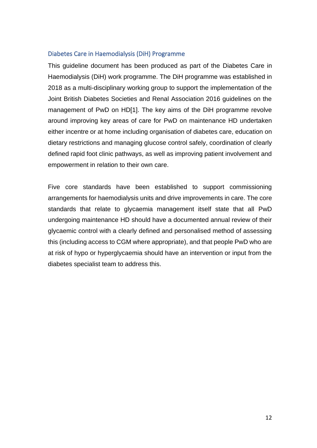### Diabetes Care in Haemodialysis (DiH) Programme

This guideline document has been produced as part of the Diabetes Care in Haemodialysis (DiH) work programme. The DiH programme was established in 2018 as a multi-disciplinary working group to support the implementation of the Joint British Diabetes Societies and Renal Association 2016 guidelines on the management of PwD on HD[1]. The key aims of the DiH programme revolve around improving key areas of care for PwD on maintenance HD undertaken either incentre or at home including organisation of diabetes care, education on dietary restrictions and managing glucose control safely, coordination of clearly defined rapid foot clinic pathways, as well as improving patient involvement and empowerment in relation to their own care.

Five core standards have been established to support commissioning arrangements for haemodialysis units and drive improvements in care. The core standards that relate to glycaemia management itself state that all PwD undergoing maintenance HD should have a documented annual review of their glycaemic control with a clearly defined and personalised method of assessing this (including access to CGM where appropriate), and that people PwD who are at risk of hypo or hyperglycaemia should have an intervention or input from the diabetes specialist team to address this.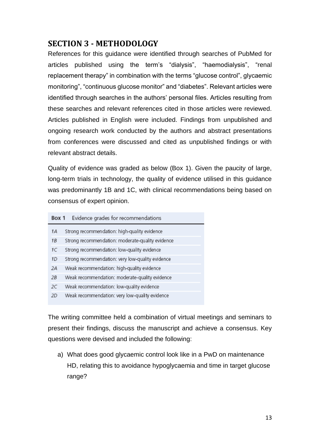# <span id="page-12-0"></span>**SECTION 3 - METHODOLOGY**

References for this guidance were identified through searches of PubMed for articles published using the term's "dialysis", "haemodialysis", "renal replacement therapy" in combination with the terms "glucose control", glycaemic monitoring", "continuous glucose monitor" and "diabetes". Relevant articles were identified through searches in the authors' personal files. Articles resulting from these searches and relevant references cited in those articles were reviewed. Articles published in English were included. Findings from unpublished and ongoing research work conducted by the authors and abstract presentations from conferences were discussed and cited as unpublished findings or with relevant abstract details.

Quality of evidence was graded as below (Box 1). Given the paucity of large, long-term trials in technology, the quality of evidence utilised in this guidance was predominantly 1B and 1C, with clinical recommendations being based on consensus of expert opinion.

| Evidence grades for recommendations<br>Box 1 |                                                  |  |  |
|----------------------------------------------|--------------------------------------------------|--|--|
| 1А                                           | Strong recommendation: high-quality evidence     |  |  |
| 1B                                           | Strong recommendation: moderate-quality evidence |  |  |
| 1С                                           | Strong recommendation: low-quality evidence      |  |  |
| 1D                                           | Strong recommendation: very low-quality evidence |  |  |
| 2A                                           | Weak recommendation: high-quality evidence       |  |  |
| 2B                                           | Weak recommendation: moderate-quality evidence   |  |  |
| 2C                                           | Weak recommendation: low-quality evidence        |  |  |
| 2D                                           | Weak recommendation: very low-quality evidence   |  |  |

The writing committee held a combination of virtual meetings and seminars to present their findings, discuss the manuscript and achieve a consensus. Key questions were devised and included the following:

a) What does good glycaemic control look like in a PwD on maintenance HD, relating this to avoidance hypoglycaemia and time in target glucose range?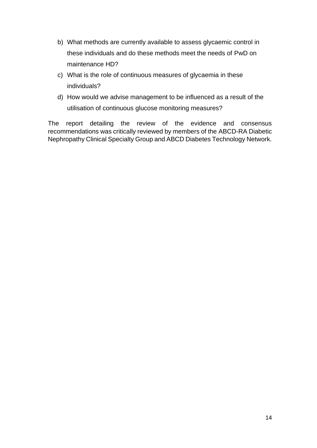- b) What methods are currently available to assess glycaemic control in these individuals and do these methods meet the needs of PwD on maintenance HD?
- c) What is the role of continuous measures of glycaemia in these individuals?
- d) How would we advise management to be influenced as a result of the utilisation of continuous glucose monitoring measures?

The report detailing the review of the evidence and consensus recommendations was critically reviewed by members of the ABCD-RA Diabetic Nephropathy Clinical Specialty Group and ABCD Diabetes Technology Network.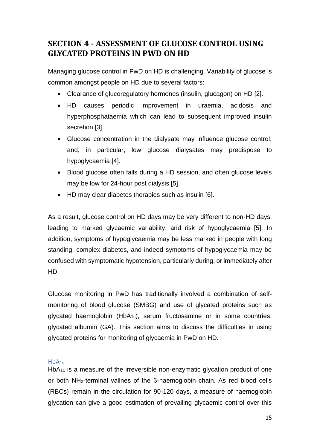# <span id="page-14-0"></span>**SECTION 4 - ASSESSMENT OF GLUCOSE CONTROL USING GLYCATED PROTEINS IN PWD ON HD**

Managing glucose control in PwD on HD is challenging. Variability of glucose is common amongst people on HD due to several factors:

- Clearance of glucoregulatory hormones (insulin, glucagon) on HD [2].
- HD causes periodic improvement in uraemia, acidosis and hyperphosphataemia which can lead to subsequent improved insulin secretion [3].
- Glucose concentration in the dialysate may influence glucose control, and, in particular, low glucose dialysates may predispose to hypoglycaemia [4].
- Blood glucose often falls during a HD session, and often glucose levels may be low for 24-hour post dialysis [5].
- HD may clear diabetes therapies such as insulin [6].

As a result, glucose control on HD days may be very different to non-HD days, leading to marked glycaemic variability, and risk of hypoglycaemia [5]. In addition, symptoms of hypoglycaemia may be less marked in people with long standing, complex diabetes, and indeed symptoms of hypoglycaemia may be confused with symptomatic hypotension, particularly during, or immediately after HD.

Glucose monitoring in PwD has traditionally involved a combination of selfmonitoring of blood glucose (SMBG) and use of glycated proteins such as glycated haemoglobin (HbA<sub>1c</sub>), serum fructosamine or in some countries, glycated albumin (GA). This section aims to discuss the difficulties in using glycated proteins for monitoring of glycaemia in PwD on HD.

### <span id="page-14-1"></span> $HbA_{1c}$

 $HbA_{1c}$  is a measure of the irreversible non-enzymatic glycation product of one or both NH2-terminal valines of the β-haemoglobin chain. As red blood cells (RBCs) remain in the circulation for 90-120 days, a measure of haemoglobin glycation can give a good estimation of prevailing glycaemic control over this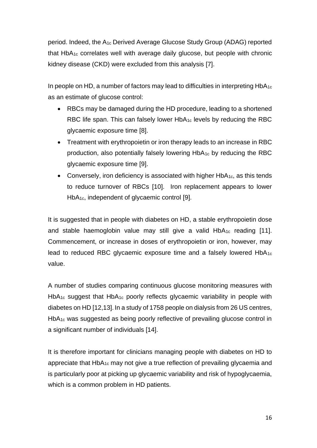period. Indeed, the A1c Derived Average Glucose Study Group (ADAG) reported that  $HbA_{1c}$  correlates well with average daily glucose, but people with chronic kidney disease (CKD) were excluded from this analysis [7].

In people on HD, a number of factors may lead to difficulties in interpreting  $HDA_{1c}$ as an estimate of glucose control:

- RBCs may be damaged during the HD procedure, leading to a shortened RBC life span. This can falsely lower HbA<sub>1c</sub> levels by reducing the RBC glycaemic exposure time [8].
- Treatment with erythropoietin or iron therapy leads to an increase in RBC production, also potentially falsely lowering HbA1c by reducing the RBC glycaemic exposure time [9].
- Conversely, iron deficiency is associated with higher  $HbA_{1c}$ , as this tends to reduce turnover of RBCs [10]. Iron replacement appears to lower HbA<sub>1c</sub>, independent of glycaemic control [9].

It is suggested that in people with diabetes on HD, a stable erythropoietin dose and stable haemoglobin value may still give a valid  $HbA_{1c}$  reading [11]. Commencement, or increase in doses of erythropoietin or iron, however, may lead to reduced RBC glycaemic exposure time and a falsely lowered HbA1c value.

A number of studies comparing continuous glucose monitoring measures with HbA<sub>1c</sub> suggest that HbA<sub>1c</sub> poorly reflects glycaemic variability in people with diabetes on HD [12,13]. In a study of 1758 people on dialysis from 26 US centres, HbA1c was suggested as being poorly reflective of prevailing glucose control in a significant number of individuals [14].

It is therefore important for clinicians managing people with diabetes on HD to appreciate that HbA1c may not give a true reflection of prevailing glycaemia and is particularly poor at picking up glycaemic variability and risk of hypoglycaemia, which is a common problem in HD patients.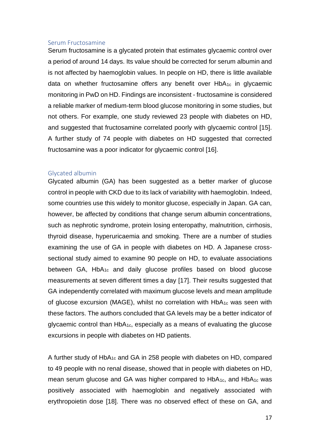#### <span id="page-16-0"></span>Serum Fructosamine

Serum fructosamine is a glycated protein that estimates glycaemic control over a period of around 14 days. Its value should be corrected for serum albumin and is not affected by haemoglobin values. In people on HD, there is little available data on whether fructosamine offers any benefit over  $HbA_{1c}$  in glycaemic monitoring in PwD on HD. Findings are inconsistent - fructosamine is considered a reliable marker of medium-term blood glucose monitoring in some studies, but not others. For example, one study reviewed 23 people with diabetes on HD, and suggested that fructosamine correlated poorly with glycaemic control [15]. A further study of 74 people with diabetes on HD suggested that corrected fructosamine was a poor indicator for glycaemic control [16].

#### <span id="page-16-1"></span>Glycated albumin

Glycated albumin (GA) has been suggested as a better marker of glucose control in people with CKD due to its lack of variability with haemoglobin. Indeed, some countries use this widely to monitor glucose, especially in Japan. GA can, however, be affected by conditions that change serum albumin concentrations, such as nephrotic syndrome, protein losing enteropathy, malnutrition, cirrhosis, thyroid disease, hyperuricaemia and smoking. There are a number of studies examining the use of GA in people with diabetes on HD. A Japanese crosssectional study aimed to examine 90 people on HD, to evaluate associations between GA, HbA1c and daily glucose profiles based on blood glucose measurements at seven different times a day [17]. Their results suggested that GA independently correlated with maximum glucose levels and mean amplitude of glucose excursion (MAGE), whilst no correlation with HbA1c was seen with these factors. The authors concluded that GA levels may be a better indicator of glycaemic control than HbA1c, especially as a means of evaluating the glucose excursions in people with diabetes on HD patients.

A further study of HbA1c and GA in 258 people with diabetes on HD, compared to 49 people with no renal disease, showed that in people with diabetes on HD, mean serum glucose and GA was higher compared to  $HDA_{1c}$ , and  $HDA_{1c}$  was positively associated with haemoglobin and negatively associated with erythropoietin dose [18]. There was no observed effect of these on GA, and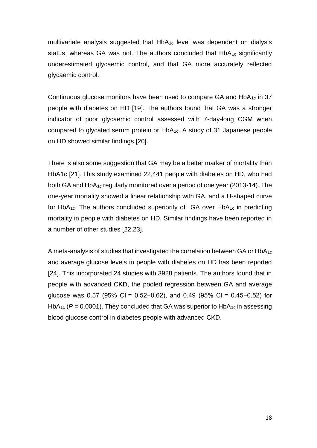multivariate analysis suggested that HbA1c level was dependent on dialysis status, whereas GA was not. The authors concluded that  $HbA_{1c}$  significantly underestimated glycaemic control, and that GA more accurately reflected glycaemic control.

Continuous glucose monitors have been used to compare GA and HbA1c in 37 people with diabetes on HD [19]. The authors found that GA was a stronger indicator of poor glycaemic control assessed with 7-day-long CGM when compared to glycated serum protein or HbA1c. A study of 31 Japanese people on HD showed similar findings [20].

There is also some suggestion that GA may be a better marker of mortality than HbA1c [21]. This study examined 22,441 people with diabetes on HD, who had both GA and HbA1c regularly monitored over a period of one year (2013-14). The one-year mortality showed a linear relationship with GA, and a U-shaped curve for HbA<sub>1c</sub>. The authors concluded superiority of  $GA$  over HbA<sub>1c</sub> in predicting mortality in people with diabetes on HD. Similar findings have been reported in a number of other studies [22,23].

A meta-analysis of studies that investigated the correlation between GA or HbA<sub>1c</sub> and average glucose levels in people with diabetes on HD has been reported [24]. This incorporated 24 studies with 3928 patients. The authors found that in people with advanced CKD, the pooled regression between GA and average glucose was 0.57 (95% CI = 0.52−0.62), and 0.49 (95% CI = 0.45−0.52) for HbA<sub>1c</sub> ( $P = 0.0001$ ). They concluded that GA was superior to HbA<sub>1c</sub> in assessing blood glucose control in diabetes people with advanced CKD.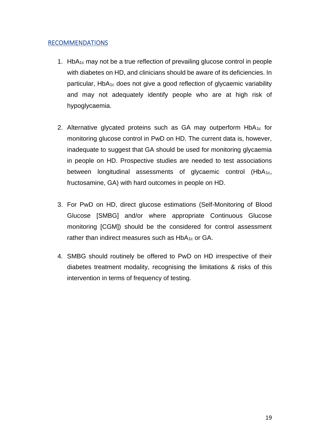### **RECOMMENDATIONS**

- 1. Hb $A_1c$  may not be a true reflection of prevailing glucose control in people with diabetes on HD, and clinicians should be aware of its deficiencies. In particular, HbA1c does not give a good reflection of glycaemic variability and may not adequately identify people who are at high risk of hypoglycaemia.
- 2. Alternative glycated proteins such as GA may outperform  $HbA_{1c}$  for monitoring glucose control in PwD on HD. The current data is, however, inadequate to suggest that GA should be used for monitoring glycaemia in people on HD. Prospective studies are needed to test associations between longitudinal assessments of glycaemic control (HbA1c, fructosamine, GA) with hard outcomes in people on HD.
- 3. For PwD on HD, direct glucose estimations (Self-Monitoring of Blood Glucose [SMBG] and/or where appropriate Continuous Glucose monitoring [CGM]) should be the considered for control assessment rather than indirect measures such as  $HbA_{1c}$  or GA.
- 4. SMBG should routinely be offered to PwD on HD irrespective of their diabetes treatment modality, recognising the limitations & risks of this intervention in terms of frequency of testing.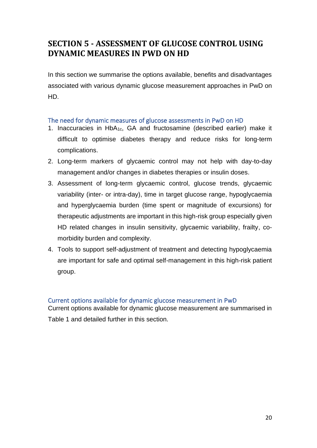# <span id="page-19-0"></span>**SECTION 5 - ASSESSMENT OF GLUCOSE CONTROL USING DYNAMIC MEASURES IN PWD ON HD**

In this section we summarise the options available, benefits and disadvantages associated with various dynamic glucose measurement approaches in PwD on HD.

### <span id="page-19-1"></span>The need for dynamic measures of glucose assessments in PwD on HD

- 1. Inaccuracies in HbA1c, GA and fructosamine (described earlier) make it difficult to optimise diabetes therapy and reduce risks for long-term complications.
- 2. Long-term markers of glycaemic control may not help with day-to-day management and/or changes in diabetes therapies or insulin doses.
- 3. Assessment of long-term glycaemic control, glucose trends, glycaemic variability (inter- or intra-day), time in target glucose range, hypoglycaemia and hyperglycaemia burden (time spent or magnitude of excursions) for therapeutic adjustments are important in this high-risk group especially given HD related changes in insulin sensitivity, glycaemic variability, frailty, comorbidity burden and complexity.
- 4. Tools to support self-adjustment of treatment and detecting hypoglycaemia are important for safe and optimal self-management in this high-risk patient group.

### <span id="page-19-2"></span>Current options available for dynamic glucose measurement in PwD

Current options available for dynamic glucose measurement are summarised in Table 1 and detailed further in this section.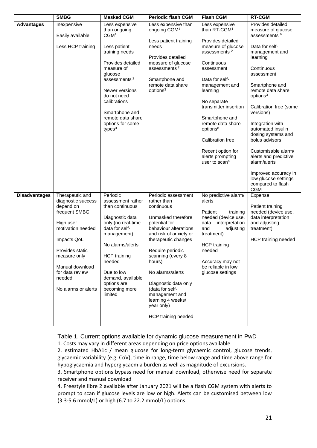|                      | <b>SMBG</b>                                                                                                                                                                                                                    | <b>Masked CGM</b>                                                                                                                                                                                                                                             | <b>Periodic flash CGM</b>                                                                                                                                                                                                                                                                                                                                       | <b>Flash CGM</b>                                                                                                                                                                                                                                                                                                                                        | <b>RT-CGM</b>                                                                                                                                                                                                                                                                                                                                                                                        |
|----------------------|--------------------------------------------------------------------------------------------------------------------------------------------------------------------------------------------------------------------------------|---------------------------------------------------------------------------------------------------------------------------------------------------------------------------------------------------------------------------------------------------------------|-----------------------------------------------------------------------------------------------------------------------------------------------------------------------------------------------------------------------------------------------------------------------------------------------------------------------------------------------------------------|---------------------------------------------------------------------------------------------------------------------------------------------------------------------------------------------------------------------------------------------------------------------------------------------------------------------------------------------------------|------------------------------------------------------------------------------------------------------------------------------------------------------------------------------------------------------------------------------------------------------------------------------------------------------------------------------------------------------------------------------------------------------|
| <b>Advantages</b>    | Inexpensive<br>Easily available                                                                                                                                                                                                | Less expensive<br>than ongoing<br>CGM <sup>1</sup>                                                                                                                                                                                                            | Less expensive than<br>ongoing CGM <sup>1</sup>                                                                                                                                                                                                                                                                                                                 | Less expensive<br>than RT-CGM <sup>1</sup>                                                                                                                                                                                                                                                                                                              | Provides detailed<br>measure of glucose<br>assessments <sup>6</sup>                                                                                                                                                                                                                                                                                                                                  |
|                      | Less HCP training                                                                                                                                                                                                              | Less patient<br>training needs<br>Provides detailed<br>measure of<br>glucose<br>assessments <sup>2</sup><br>Newer versions<br>do not need<br>calibrations<br>Smartphone and<br>remote data share<br>options for some<br>types $3$                             | Less patient training<br>needs<br>Provides detailed<br>measure of glucose<br>assessments $2$<br>Smartphone and<br>remote data share<br>options <sup>3</sup>                                                                                                                                                                                                     | Provides detailed<br>measure of glucose<br>assessments <sup>2</sup><br>Continuous<br>assessment<br>Data for self-<br>management and<br>learning<br>No separate<br>transmitter insertion<br>Smartphone and<br>remote data share<br>options <sup>8</sup><br><b>Calibration free</b><br>Recent option for<br>alerts prompting<br>user to scan <sup>4</sup> | Data for self-<br>management and<br>learning<br>Continuous<br>assessment<br>Smartphone and<br>remote data share<br>options <sup>3</sup><br>Calibration free (some<br>versions)<br>Integration with<br>automated insulin<br>dosing systems and<br>bolus advisors<br>Customisable alarm/<br>alerts and predictive<br>alarm/alerts<br>Improved accuracy in<br>low glucose settings<br>compared to flash |
| <b>Disadvantages</b> | Therapeutic and<br>diagnostic success<br>depend on<br>frequent SMBG<br>High user<br>motivation needed<br>Impacts QoL<br>Provides static<br>measure only<br>Manual download<br>for data review<br>needed<br>No alarms or alerts | Periodic<br>assessment rather<br>than continuous<br>Diagnostic data<br>only (no real-time<br>data for self-<br>management)<br>No alarms/alerts<br><b>HCP</b> training<br>needed<br>Due to low<br>demand, available<br>options are<br>becoming more<br>limited | Periodic assessment<br>rather than<br>continuous<br>Unmasked therefore<br>potential for<br>behaviour alterations<br>and risk of anxiety or<br>therapeutic changes<br>Require periodic<br>scanning (every 8<br>hours)<br>No alarms/alerts<br>Diagnostic data only<br>(data for self-<br>management and<br>learning 4 weeks/<br>year only)<br>HCP training needed | No predictive alarm/<br>alerts<br>Patient<br>training<br>needed (device use,<br>interpretation<br>data<br>and<br>adjusting<br>treatment)<br><b>HCP</b> training<br>needed<br>Accuracy may not<br>be reliable in low<br>glucose settings                                                                                                                 | <b>CGM</b><br>Expense<br>Patient training<br>needed (device use,<br>data interpretation<br>and adjusting<br>treatment)<br>HCP training needed                                                                                                                                                                                                                                                        |

Table 1. Current options available for dynamic glucose measurement in PwD 1. Costs may vary in different areas depending on price options available.

2. estimated HbA1c / mean glucose for long-term glycaemic control, glucose trends, glycaemic variability (e.g. CoV), time in range, time below range and time above range for hypoglycaemia and hyperglycaemia burden as well as magnitude of excursions.

3. Smartphone options bypass need for manual download, otherwise need for separate receiver and manual download

4. Freestyle libre 2 available after January 2021 will be a flash CGM system with alerts to prompt to scan if glucose levels are low or high. Alerts can be customised between low (3.3-5.6 mmol/L) or high (6.7 to 22.2 mmol/L) options.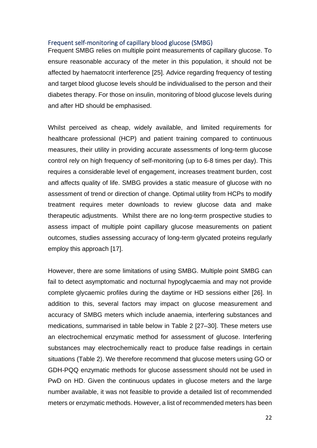#### <span id="page-21-0"></span>Frequent self-monitoring of capillary blood glucose (SMBG)

Frequent SMBG relies on multiple point measurements of capillary glucose. To ensure reasonable accuracy of the meter in this population, it should not be affected by haematocrit interference [25]. Advice regarding frequency of testing and target blood glucose levels should be individualised to the person and their diabetes therapy. For those on insulin, monitoring of blood glucose levels during and after HD should be emphasised.

Whilst perceived as cheap, widely available, and limited requirements for healthcare professional (HCP) and patient training compared to continuous measures, their utility in providing accurate assessments of long-term glucose control rely on high frequency of self-monitoring (up to 6-8 times per day). This requires a considerable level of engagement, increases treatment burden, cost and affects quality of life. SMBG provides a static measure of glucose with no assessment of trend or direction of change. Optimal utility from HCPs to modify treatment requires meter downloads to review glucose data and make therapeutic adjustments. Whilst there are no long-term prospective studies to assess impact of multiple point capillary glucose measurements on patient outcomes, studies assessing accuracy of long-term glycated proteins regularly employ this approach [17].

However, there are some limitations of using SMBG. Multiple point SMBG can fail to detect asymptomatic and nocturnal hypoglycaemia and may not provide complete glycaemic profiles during the daytime or HD sessions either [26]. In addition to this, several factors may impact on glucose measurement and accuracy of SMBG meters which include anaemia, interfering substances and medications, summarised in table below in Table 2 [27–30]. These meters use an electrochemical enzymatic method for assessment of glucose. Interfering substances may electrochemically react to produce false readings in certain situations (Table 2). We therefore recommend that glucose meters using GO or GDH-PQQ enzymatic methods for glucose assessment should not be used in PwD on HD. Given the continuous updates in glucose meters and the large number available, it was not feasible to provide a detailed list of recommended meters or enzymatic methods. However, a list of recommended meters has been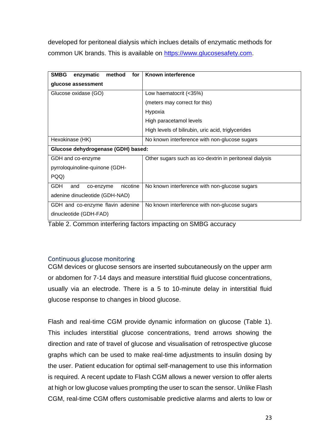developed for peritoneal dialysis which inclues details of enzymatic methods for common UK brands. This is available on [https://www.glucosesafety.com.](https://www.glucosesafety.com/)

| Known interference                                      |  |  |
|---------------------------------------------------------|--|--|
|                                                         |  |  |
| Low haematocrit (<35%)                                  |  |  |
| (meters may correct for this)                           |  |  |
| Hypoxia                                                 |  |  |
| High paracetamol levels                                 |  |  |
| High levels of bilirubin, uric acid, triglycerides      |  |  |
| No known interference with non-glucose sugars           |  |  |
| Glucose dehydrogenase (GDH) based:                      |  |  |
| Other sugars such as ico-dextrin in peritoneal dialysis |  |  |
|                                                         |  |  |
|                                                         |  |  |
| No known interference with non-glucose sugars           |  |  |
|                                                         |  |  |
| No known interference with non-glucose sugars           |  |  |
|                                                         |  |  |
|                                                         |  |  |

Table 2. Common interfering factors impacting on SMBG accuracy

## <span id="page-22-0"></span>Continuous glucose monitoring

CGM devices or glucose sensors are inserted subcutaneously on the upper arm or abdomen for 7-14 days and measure interstitial fluid glucose concentrations, usually via an electrode. There is a 5 to 10-minute delay in interstitial fluid glucose response to changes in blood glucose.

Flash and real-time CGM provide dynamic information on glucose (Table 1). This includes interstitial glucose concentrations, trend arrows showing the direction and rate of travel of glucose and visualisation of retrospective glucose graphs which can be used to make real-time adjustments to insulin dosing by the user. Patient education for optimal self-management to use this information is required. A recent update to Flash CGM allows a newer version to offer alerts at high or low glucose values prompting the user to scan the sensor. Unlike Flash CGM, real-time CGM offers customisable predictive alarms and alerts to low or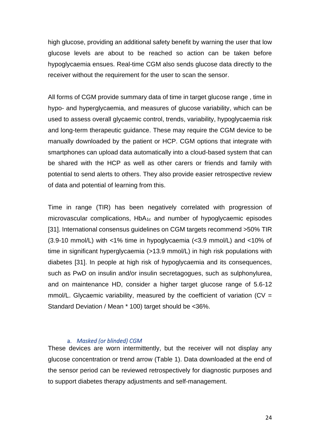high glucose, providing an additional safety benefit by warning the user that low glucose levels are about to be reached so action can be taken before hypoglycaemia ensues. Real-time CGM also sends glucose data directly to the receiver without the requirement for the user to scan the sensor.

All forms of CGM provide summary data of time in target glucose range , time in hypo- and hyperglycaemia, and measures of glucose variability, which can be used to assess overall glycaemic control, trends, variability, hypoglycaemia risk and long-term therapeutic guidance. These may require the CGM device to be manually downloaded by the patient or HCP. CGM options that integrate with smartphones can upload data automatically into a cloud-based system that can be shared with the HCP as well as other carers or friends and family with potential to send alerts to others. They also provide easier retrospective review of data and potential of learning from this.

Time in range (TIR) has been negatively correlated with progression of microvascular complications, HbA1c and number of hypoglycaemic episodes [31]. International consensus guidelines on CGM targets recommend >50% TIR (3.9-10 mmol/L) with <1% time in hypoglycaemia (<3.9 mmol/L) and <10% of time in significant hyperglycaemia (>13.9 mmol/L) in high risk populations with diabetes [31]. In people at high risk of hypoglycaemia and its consequences, such as PwD on insulin and/or insulin secretagogues, such as sulphonylurea, and on maintenance HD, consider a higher target glucose range of 5.6-12 mmol/L. Glycaemic variability, measured by the coefficient of variation ( $CV =$ Standard Deviation / Mean \* 100) target should be <36%.

### a. *Masked (or blinded) CGM*

These devices are worn intermittently, but the receiver will not display any glucose concentration or trend arrow (Table 1). Data downloaded at the end of the sensor period can be reviewed retrospectively for diagnostic purposes and to support diabetes therapy adjustments and self-management.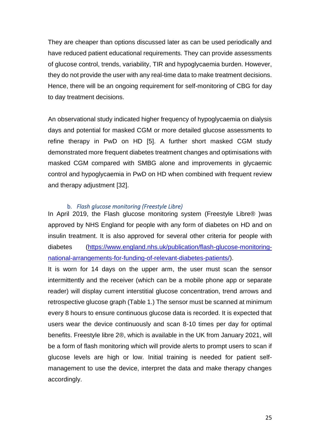They are cheaper than options discussed later as can be used periodically and have reduced patient educational requirements. They can provide assessments of glucose control, trends, variability, TIR and hypoglycaemia burden. However, they do not provide the user with any real-time data to make treatment decisions. Hence, there will be an ongoing requirement for self-monitoring of CBG for day to day treatment decisions.

An observational study indicated higher frequency of hypoglycaemia on dialysis days and potential for masked CGM or more detailed glucose assessments to refine therapy in PwD on HD [5]. A further short masked CGM study demonstrated more frequent diabetes treatment changes and optimisations with masked CGM compared with SMBG alone and improvements in glycaemic control and hypoglycaemia in PwD on HD when combined with frequent review and therapy adjustment [32].

#### b. *Flash glucose monitoring (Freestyle Libre)*

In April 2019, the Flash glucose monitoring system (Freestyle Libre® )was approved by NHS England for people with any form of diabetes on HD and on insulin treatment. It is also approved for several other criteria for people with diabetes [\(https://www.england.nhs.uk/publication/flash-glucose-monitoring](https://www.england.nhs.uk/publication/flash-glucose-monitoring-national-arrangements-for-funding-of-relevant-diabetes-patients/)[national-arrangements-for-funding-of-relevant-diabetes-patients/\)](https://www.england.nhs.uk/publication/flash-glucose-monitoring-national-arrangements-for-funding-of-relevant-diabetes-patients/).

It is worn for 14 days on the upper arm, the user must scan the sensor intermittently and the receiver (which can be a mobile phone app or separate reader) will display current interstitial glucose concentration, trend arrows and retrospective glucose graph (Table 1.) The sensor must be scanned at minimum every 8 hours to ensure continuous glucose data is recorded. It is expected that users wear the device continuously and scan 8-10 times per day for optimal benefits. Freestyle libre 2®, which is available in the UK from January 2021, will be a form of flash monitoring which will provide alerts to prompt users to scan if glucose levels are high or low. Initial training is needed for patient selfmanagement to use the device, interpret the data and make therapy changes accordingly.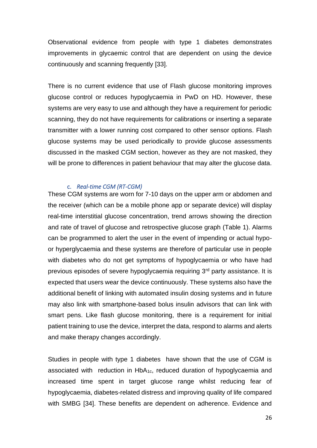Observational evidence from people with type 1 diabetes demonstrates improvements in glycaemic control that are dependent on using the device continuously and scanning frequently [33].

There is no current evidence that use of Flash glucose monitoring improves glucose control or reduces hypoglycaemia in PwD on HD. However, these systems are very easy to use and although they have a requirement for periodic scanning, they do not have requirements for calibrations or inserting a separate transmitter with a lower running cost compared to other sensor options. Flash glucose systems may be used periodically to provide glucose assessments discussed in the masked CGM section, however as they are not masked, they will be prone to differences in patient behaviour that may alter the glucose data.

#### c. *Real-time CGM (RT-CGM)*

These CGM systems are worn for 7-10 days on the upper arm or abdomen and the receiver (which can be a mobile phone app or separate device) will display real-time interstitial glucose concentration, trend arrows showing the direction and rate of travel of glucose and retrospective glucose graph (Table 1). Alarms can be programmed to alert the user in the event of impending or actual hypoor hyperglycaemia and these systems are therefore of particular use in people with diabetes who do not get symptoms of hypoglycaemia or who have had previous episodes of severe hypoglycaemia requiring 3<sup>rd</sup> party assistance. It is expected that users wear the device continuously. These systems also have the additional benefit of linking with automated insulin dosing systems and in future may also link with smartphone-based bolus insulin advisors that can link with smart pens. Like flash glucose monitoring, there is a requirement for initial patient training to use the device, interpret the data, respond to alarms and alerts and make therapy changes accordingly.

Studies in people with type 1 diabetes have shown that the use of CGM is associated with reduction in HbA1c, reduced duration of hypoglycaemia and increased time spent in target glucose range whilst reducing fear of hypoglycaemia, diabetes-related distress and improving quality of life compared with SMBG [34]. These benefits are dependent on adherence. Evidence and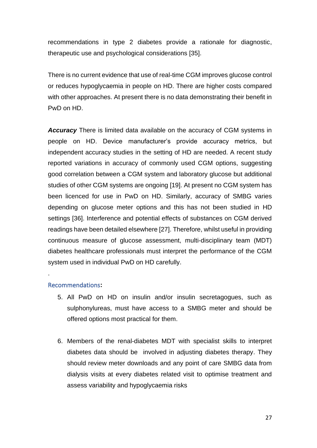recommendations in type 2 diabetes provide a rationale for diagnostic, therapeutic use and psychological considerations [35].

There is no current evidence that use of real-time CGM improves glucose control or reduces hypoglycaemia in people on HD. There are higher costs compared with other approaches. At present there is no data demonstrating their benefit in PwD on HD.

*Accuracy* There is limited data available on the accuracy of CGM systems in people on HD. Device manufacturer's provide accuracy metrics, but independent accuracy studies in the setting of HD are needed. A recent study reported variations in accuracy of commonly used CGM options, suggesting good correlation between a CGM system and laboratory glucose but additional studies of other CGM systems are ongoing [19]. At present no CGM system has been licenced for use in PwD on HD. Similarly, accuracy of SMBG varies depending on glucose meter options and this has not been studied in HD settings [36]. Interference and potential effects of substances on CGM derived readings have been detailed elsewhere [27]. Therefore, whilst useful in providing continuous measure of glucose assessment, multi-disciplinary team (MDT) diabetes healthcare professionals must interpret the performance of the CGM system used in individual PwD on HD carefully.

### Recommendations**:**

.

- 5. All PwD on HD on insulin and/or insulin secretagogues, such as sulphonylureas, must have access to a SMBG meter and should be offered options most practical for them.
- 6. Members of the renal-diabetes MDT with specialist skills to interpret diabetes data should be involved in adjusting diabetes therapy. They should review meter downloads and any point of care SMBG data from dialysis visits at every diabetes related visit to optimise treatment and assess variability and hypoglycaemia risks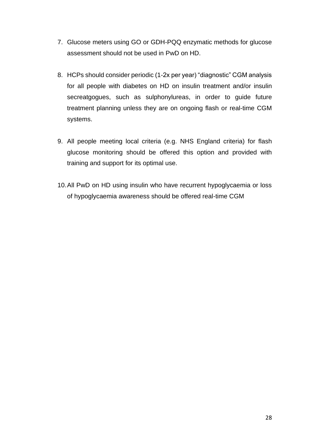- 7. Glucose meters using GO or GDH-PQQ enzymatic methods for glucose assessment should not be used in PwD on HD.
- 8. HCPs should consider periodic (1-2x per year) "diagnostic" CGM analysis for all people with diabetes on HD on insulin treatment and/or insulin secreatgogues, such as sulphonylureas, in order to guide future treatment planning unless they are on ongoing flash or real-time CGM systems.
- 9. All people meeting local criteria (e.g. NHS England criteria) for flash glucose monitoring should be offered this option and provided with training and support for its optimal use.
- 10.All PwD on HD using insulin who have recurrent hypoglycaemia or loss of hypoglycaemia awareness should be offered real-time CGM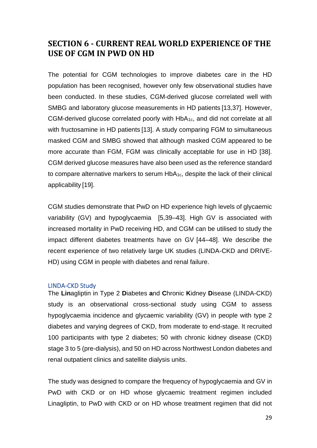# <span id="page-28-0"></span>**SECTION 6 - CURRENT REAL WORLD EXPERIENCE OF THE USE OF CGM IN PWD ON HD**

The potential for CGM technologies to improve diabetes care in the HD population has been recognised, however only few observational studies have been conducted. In these studies, CGM-derived glucose correlated well with SMBG and laboratory glucose measurements in HD patients [13,37]. However, CGM-derived glucose correlated poorly with HbA1c, and did not correlate at all with fructosamine in HD patients [13]. A study comparing FGM to simultaneous masked CGM and SMBG showed that although masked CGM appeared to be more accurate than FGM, FGM was clinically acceptable for use in HD [38]. CGM derived glucose measures have also been used as the reference standard to compare alternative markers to serum  $HbA_{1c}$ , despite the lack of their clinical applicability [19].

CGM studies demonstrate that PwD on HD experience high levels of glycaemic variability (GV) and hypoglycaemia [5,39–43]. High GV is associated with increased mortality in PwD receiving HD, and CGM can be utilised to study the impact different diabetes treatments have on GV [44–48]. We describe the recent experience of two relatively large UK studies (LINDA-CKD and DRIVE-HD) using CGM in people with diabetes and renal failure.

### <span id="page-28-1"></span>LINDA-CKD Study

The **Lin**agliptin in Type 2 **D**iabetes **a**nd **C**hronic **K**idney **D**isease (LINDA-CKD) study is an observational cross-sectional study using CGM to assess hypoglycaemia incidence and glycaemic variability (GV) in people with type 2 diabetes and varying degrees of CKD, from moderate to end-stage. It recruited 100 participants with type 2 diabetes; 50 with chronic kidney disease (CKD) stage 3 to 5 (pre-dialysis), and 50 on HD across Northwest London diabetes and renal outpatient clinics and satellite dialysis units.

The study was designed to compare the frequency of hypoglycaemia and GV in PwD with CKD or on HD whose glycaemic treatment regimen included Linagliptin, to PwD with CKD or on HD whose treatment regimen that did not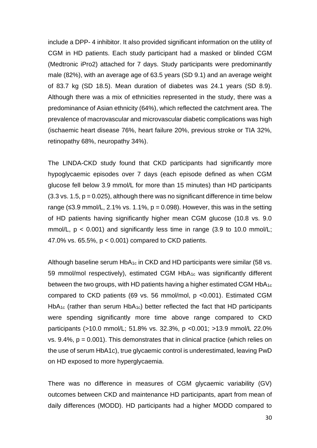include a DPP- 4 inhibitor. It also provided significant information on the utility of CGM in HD patients. Each study participant had a masked or blinded CGM (Medtronic iPro2) attached for 7 days. Study participants were predominantly male (82%), with an average age of 63.5 years (SD 9.1) and an average weight of 83.7 kg (SD 18.5). Mean duration of diabetes was 24.1 years (SD 8.9). Although there was a mix of ethnicities represented in the study, there was a predominance of Asian ethnicity (64%), which reflected the catchment area. The prevalence of macrovascular and microvascular diabetic complications was high (ischaemic heart disease 76%, heart failure 20%, previous stroke or TIA 32%, retinopathy 68%, neuropathy 34%).

The LINDA-CKD study found that CKD participants had significantly more hypoglycaemic episodes over 7 days (each episode defined as when CGM glucose fell below 3.9 mmol/L for more than 15 minutes) than HD participants  $(3.3 \text{ vs. } 1.5, p = 0.025)$ , although there was no significant difference in time below range ( $\leq$ 3.9 mmol/L, 2.1% vs. 1.1%,  $p = 0.098$ ). However, this was in the setting of HD patients having significantly higher mean CGM glucose (10.8 vs. 9.0 mmol/L,  $p < 0.001$ ) and significantly less time in range (3.9 to 10.0 mmol/L; 47.0% vs. 65.5%, p < 0.001) compared to CKD patients.

Although baseline serum HbA<sub>1c</sub> in CKD and HD participants were similar (58 vs. 59 mmol/mol respectively), estimated CGM HbA1c was significantly different between the two groups, with HD patients having a higher estimated CGM HbA1c compared to CKD patients (69 vs. 56 mmol/mol, p <0.001). Estimated CGM HbA<sub>1c</sub> (rather than serum HbA<sub>1c</sub>) better reflected the fact that HD participants were spending significantly more time above range compared to CKD participants (>10.0 mmol/L; 51.8% vs. 32.3%, p <0.001; >13.9 mmol/L 22.0% vs.  $9.4\%$ ,  $p = 0.001$ ). This demonstrates that in clinical practice (which relies on the use of serum HbA1c), true glycaemic control is underestimated, leaving PwD on HD exposed to more hyperglycaemia.

There was no difference in measures of CGM glycaemic variability (GV) outcomes between CKD and maintenance HD participants, apart from mean of daily differences (MODD). HD participants had a higher MODD compared to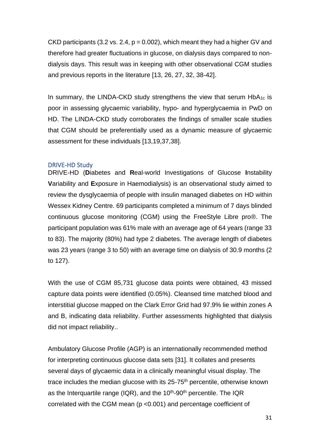CKD participants (3.2 vs. 2.4,  $p = 0.002$ ), which meant they had a higher GV and therefore had greater fluctuations in glucose, on dialysis days compared to nondialysis days. This result was in keeping with other observational CGM studies and previous reports in the literature [13, 26, 27, 32, 38-42].

In summary, the LINDA-CKD study strengthens the view that serum  $HDA_{1c}$  is poor in assessing glycaemic variability, hypo- and hyperglycaemia in PwD on HD. The LINDA-CKD study corroborates the findings of smaller scale studies that CGM should be preferentially used as a dynamic measure of glycaemic assessment for these individuals [13,19,37,38].

### <span id="page-30-0"></span>DRIVE-HD Study

DRIVE-HD (**D**iabetes and **R**eal-world Investigations of Glucose **I**nstability **V**ariability and **E**xposure in Haemodialysis) is an observational study aimed to review the dysglycaemia of people with insulin managed diabetes on HD within Wessex Kidney Centre. 69 participants completed a minimum of 7 days blinded continuous glucose monitoring (CGM) using the FreeStyle Libre pro®. The participant population was 61% male with an average age of 64 years (range 33 to 83). The majority (80%) had type 2 diabetes. The average length of diabetes was 23 years (range 3 to 50) with an average time on dialysis of 30.9 months (2 to 127).

With the use of CGM 85,731 glucose data points were obtained, 43 missed capture data points were identified (0.05%). Cleansed time matched blood and interstitial glucose mapped on the Clark Error Grid had 97.9% lie within zones A and B, indicating data reliability. Further assessments highlighted that dialysis did not impact reliability..

Ambulatory Glucose Profile (AGP) is an internationally recommended method for interpreting continuous glucose data sets [31]. It collates and presents several days of glycaemic data in a clinically meaningful visual display. The trace includes the median glucose with its  $25-75<sup>th</sup>$  percentile, otherwise known as the Interquartile range (IQR), and the  $10<sup>th</sup>$ -90<sup>th</sup> percentile. The IQR correlated with the CGM mean (p <0.001) and percentage coefficient of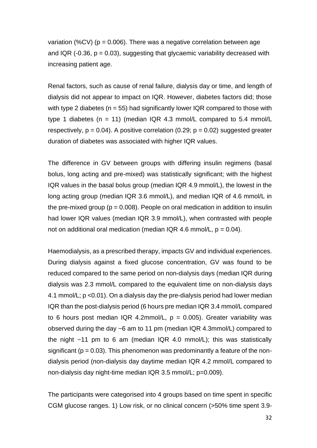variation (%CV) ( $p = 0.006$ ). There was a negative correlation between age and IQR (-0.36,  $p = 0.03$ ), suggesting that glycaemic variability decreased with increasing patient age.

Renal factors, such as cause of renal failure, dialysis day or time, and length of dialysis did not appear to impact on IQR. However, diabetes factors did; those with type 2 diabetes ( $n = 55$ ) had significantly lower IQR compared to those with type 1 diabetes ( $n = 11$ ) (median IQR 4.3 mmol/L compared to 5.4 mmol/L respectively,  $p = 0.04$ ). A positive correlation (0.29;  $p = 0.02$ ) suggested greater duration of diabetes was associated with higher IQR values.

The difference in GV between groups with differing insulin regimens (basal bolus, long acting and pre-mixed) was statistically significant; with the highest IQR values in the basal bolus group (median IQR 4.9 mmol/L), the lowest in the long acting group (median IQR 3.6 mmol/L), and median IQR of 4.6 mmol/L in the pre-mixed group ( $p = 0.008$ ). People on oral medication in addition to insulin had lower IQR values (median IQR 3.9 mmol/L), when contrasted with people not on additional oral medication (median IQR 4.6 mmol/L,  $p = 0.04$ ).

Haemodialysis, as a prescribed therapy, impacts GV and individual experiences. During dialysis against a fixed glucose concentration, GV was found to be reduced compared to the same period on non-dialysis days (median IQR during dialysis was 2.3 mmol/L compared to the equivalent time on non-dialysis days 4.1 mmol/L; p <0.01). On a dialysis day the pre-dialysis period had lower median IQR than the post-dialysis period (6 hours pre median IQR 3.4 mmol/L compared to 6 hours post median IQR 4.2mmol/L,  $p = 0.005$ ). Greater variability was observed during the day ~6 am to 11 pm (median IQR 4.3mmol/L) compared to the night  $~11$  pm to 6 am (median IQR 4.0 mmol/L); this was statistically significant ( $p = 0.03$ ). This phenomenon was predominantly a feature of the nondialysis period (non-dialysis day daytime median IQR 4.2 mmol/L compared to non-dialysis day night-time median IQR 3.5 mmol/L; p=0.009).

The participants were categorised into 4 groups based on time spent in specific CGM glucose ranges. 1) Low risk, or no clinical concern (>50% time spent 3.9-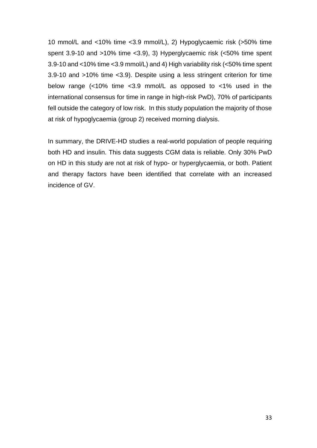10 mmol/L and <10% time <3.9 mmol/L), 2) Hypoglycaemic risk (>50% time spent 3.9-10 and >10% time <3.9), 3) Hyperglycaemic risk (<50% time spent 3.9-10 and <10% time <3.9 mmol/L) and 4) High variability risk (<50% time spent 3.9-10 and >10% time <3.9). Despite using a less stringent criterion for time below range (<10% time <3.9 mmol/L as opposed to <1% used in the international consensus for time in range in high-risk PwD), 70% of participants fell outside the category of low risk. In this study population the majority of those at risk of hypoglycaemia (group 2) received morning dialysis.

In summary, the DRIVE-HD studies a real-world population of people requiring both HD and insulin. This data suggests CGM data is reliable. Only 30% PwD on HD in this study are not at risk of hypo- or hyperglycaemia, or both. Patient and therapy factors have been identified that correlate with an increased incidence of GV.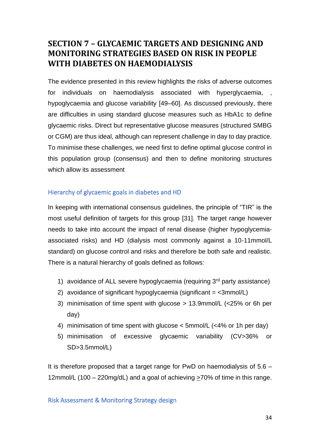# <span id="page-33-0"></span>**SECTION 7 – GLYCAEMIC TARGETS AND DESIGNING AND MONITORING STRATEGIES BASED ON RISK IN PEOPLE WITH DIABETES ON HAEMODIALYSIS**

The evidence presented in this review highlights the risks of adverse outcomes for individuals on haemodialysis associated with hyperglycaemia, hypoglycaemia and glucose variability [49–60]. As discussed previously, there are difficulties in using standard glucose measures such as HbA1c to define glycaemic risks. Direct but representative glucose measures (structured SMBG or CGM) are thus ideal, although can represent challenge in day to day practice. To minimise these challenges, we need first to define optimal glucose control in this population group (consensus) and then to define monitoring structures which allow its assessment

## Hierarchy of glycaemic goals in diabetes and HD

In keeping with international consensus guidelines, the principle of "TIR" is the most useful definition of targets for this group [31]. The target range however needs to take into account the impact of renal disease (higher hypoglycemiaassociated risks) and HD (dialysis most commonly against a 10-11mmol/L standard) on glucose control and risks and therefore be both safe and realistic. There is a natural hierarchy of goals defined as follows:

- 1) avoidance of ALL severe hypoglycaemia (requiring 3<sup>rd</sup> party assistance)
- 2) avoidance of significant hypoglycaemia (significant  $=$   $\leq$ 3mmol/L)
- 3) minimisation of time spent with glucose > 13.9mmol/L (<25% or 6h per day)
- 4) minimisation of time spent with glucose < 5mmol/L (<4% or 1h per day)
- 5) minimisation of excessive glycaemic variability (CV>36% or SD>3.5mmol/L)

It is therefore proposed that a target range for PwD on haemodialysis of 5.6 – 12mmol/L (100 – 220mg/dL) and a goal of achieving >70% of time in this range.

Risk Assessment & Monitoring Strategy design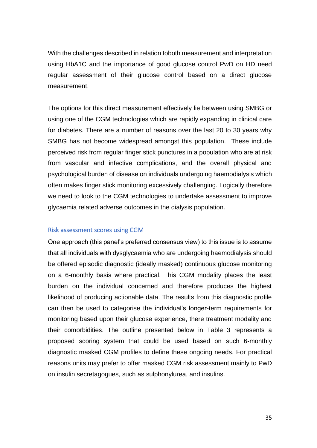With the challenges described in relation toboth measurement and interpretation using HbA1C and the importance of good glucose control PwD on HD need regular assessment of their glucose control based on a direct glucose measurement.

The options for this direct measurement effectively lie between using SMBG or using one of the CGM technologies which are rapidly expanding in clinical care for diabetes. There are a number of reasons over the last 20 to 30 years why SMBG has not become widespread amongst this population. These include perceived risk from regular finger stick punctures in a population who are at risk from vascular and infective complications, and the overall physical and psychological burden of disease on individuals undergoing haemodialysis which often makes finger stick monitoring excessively challenging. Logically therefore we need to look to the CGM technologies to undertake assessment to improve glycaemia related adverse outcomes in the dialysis population.

#### Risk assessment scores using CGM

One approach (this panel's preferred consensus view) to this issue is to assume that all individuals with dysglycaemia who are undergoing haemodialysis should be offered episodic diagnostic (ideally masked) continuous glucose monitoring on a 6-monthly basis where practical. This CGM modality places the least burden on the individual concerned and therefore produces the highest likelihood of producing actionable data. The results from this diagnostic profile can then be used to categorise the individual's longer-term requirements for monitoring based upon their glucose experience, there treatment modality and their comorbidities. The outline presented below in Table 3 represents a proposed scoring system that could be used based on such 6-monthly diagnostic masked CGM profiles to define these ongoing needs. For practical reasons units may prefer to offer masked CGM risk assessment mainly to PwD on insulin secretagogues, such as sulphonylurea, and insulins.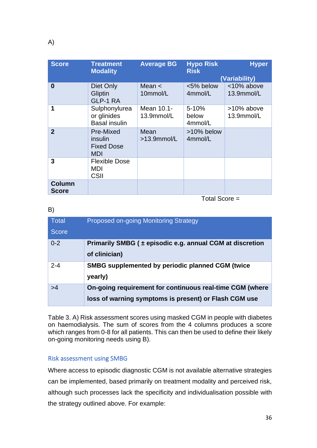| <b>Score</b> | <b>Treatment</b><br><b>Modality</b>                     | <b>Average BG</b>        | <b>Hypo Risk</b><br><b>Risk</b> | <b>Hyper</b><br>(Variability) |
|--------------|---------------------------------------------------------|--------------------------|---------------------------------|-------------------------------|
| 0            | Diet Only<br>Gliptin<br>GLP-1 RA                        | Mean $\lt$<br>10mmol/L   | <5% below<br>4mmol/L            | <10% above<br>13.9mmol/L      |
| 1            | Sulphonylurea<br>or glinides<br><b>Basal insulin</b>    | Mean 10.1-<br>13.9mmol/L | $5 - 10%$<br>below<br>4mmol/L   | >10% above<br>13.9mmol/L      |
| $\mathbf{2}$ | Pre-Mixed<br>insulin<br><b>Fixed Dose</b><br><b>MDI</b> | Mean<br>$>13.9$ mmol/L   | >10% below<br>4mmol/L           |                               |
| 3            | <b>Flexible Dose</b><br>MDI<br><b>CSII</b>              |                          |                                 |                               |
| Column       |                                                         |                          |                                 |                               |

Total Score =

| <b>Total</b><br><b>Score</b> | Proposed on-going Monitoring Strategy                                                                             |
|------------------------------|-------------------------------------------------------------------------------------------------------------------|
| $0 - 2$                      | Primarily SMBG ( $\pm$ episodic e.g. annual CGM at discretion<br>of clinician)                                    |
| $2 - 4$                      | <b>SMBG supplemented by periodic planned CGM (twice</b><br>yearly)                                                |
| >4                           | On-going requirement for continuous real-time CGM (where<br>loss of warning symptoms is present) or Flash CGM use |

Table 3. A) Risk assessment scores using masked CGM in people with diabetes on haemodialysis. The sum of scores from the 4 columns produces a score which ranges from 0-8 for all patients. This can then be used to define their likely on-going monitoring needs using B).

### Risk assessment using SMBG

Where access to episodic diagnostic CGM is not available alternative strategies can be implemented, based primarily on treatment modality and perceived risk, although such processes lack the specificity and individualisation possible with the strategy outlined above. For example:

B)

**Score**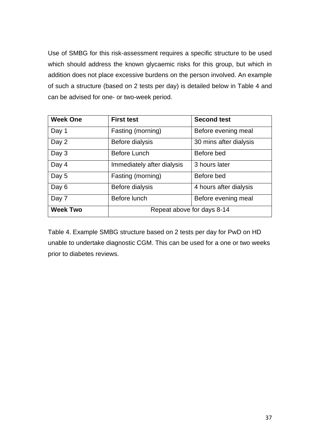Use of SMBG for this risk-assessment requires a specific structure to be used which should address the known glycaemic risks for this group, but which in addition does not place excessive burdens on the person involved. An example of such a structure (based on 2 tests per day) is detailed below in Table 4 and can be advised for one- or two-week period.

| <b>Week One</b> | <b>First test</b>          | <b>Second test</b>     |  |
|-----------------|----------------------------|------------------------|--|
| Day 1           | Fasting (morning)          | Before evening meal    |  |
| Day 2           | Before dialysis            | 30 mins after dialysis |  |
| Day 3           | <b>Before Lunch</b>        | Before bed             |  |
| Day 4           | Immediately after dialysis | 3 hours later          |  |
| Day 5           | Fasting (morning)          | Before bed             |  |
| Day 6           | Before dialysis            | 4 hours after dialysis |  |
| Day 7           | Before lunch               | Before evening meal    |  |
| <b>Week Two</b> | Repeat above for days 8-14 |                        |  |

Table 4. Example SMBG structure based on 2 tests per day for PwD on HD unable to undertake diagnostic CGM. This can be used for a one or two weeks prior to diabetes reviews.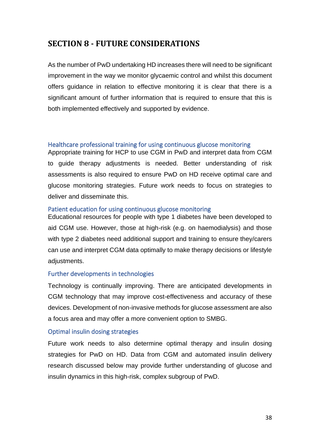# <span id="page-37-0"></span>**SECTION 8 - FUTURE CONSIDERATIONS**

As the number of PwD undertaking HD increases there will need to be significant improvement in the way we monitor glycaemic control and whilst this document offers guidance in relation to effective monitoring it is clear that there is a significant amount of further information that is required to ensure that this is both implemented effectively and supported by evidence.

### Healthcare professional training for using continuous glucose monitoring

Appropriate training for HCP to use CGM in PwD and interpret data from CGM to guide therapy adjustments is needed. Better understanding of risk assessments is also required to ensure PwD on HD receive optimal care and glucose monitoring strategies. Future work needs to focus on strategies to deliver and disseminate this.

### Patient education for using continuous glucose monitoring

Educational resources for people with type 1 diabetes have been developed to aid CGM use. However, those at high-risk (e.g. on haemodialysis) and those with type 2 diabetes need additional support and training to ensure they/carers can use and interpret CGM data optimally to make therapy decisions or lifestyle adjustments.

## Further developments in technologies

Technology is continually improving. There are anticipated developments in CGM technology that may improve cost-effectiveness and accuracy of these devices. Development of non-invasive methods for glucose assessment are also a focus area and may offer a more convenient option to SMBG.

## Optimal insulin dosing strategies

Future work needs to also determine optimal therapy and insulin dosing strategies for PwD on HD. Data from CGM and automated insulin delivery research discussed below may provide further understanding of glucose and insulin dynamics in this high-risk, complex subgroup of PwD.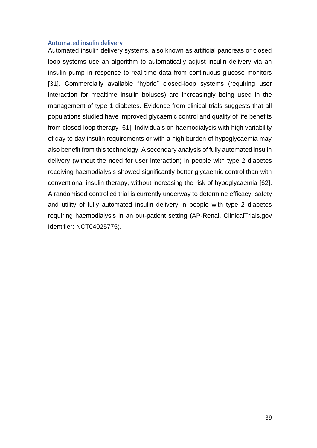#### Automated insulin delivery

Automated insulin delivery systems, also known as artificial pancreas or closed loop systems use an algorithm to automatically adjust insulin delivery via an insulin pump in response to real-time data from continuous glucose monitors [31]. Commercially available "hybrid" closed-loop systems (requiring user interaction for mealtime insulin boluses) are increasingly being used in the management of type 1 diabetes. Evidence from clinical trials suggests that all populations studied have improved glycaemic control and quality of life benefits from closed-loop therapy [61]. Individuals on haemodialysis with high variability of day to day insulin requirements or with a high burden of hypoglycaemia may also benefit from this technology. A secondary analysis of fully automated insulin delivery (without the need for user interaction) in people with type 2 diabetes receiving haemodialysis showed significantly better glycaemic control than with conventional insulin therapy, without increasing the risk of hypoglycaemia [62]. A randomised controlled trial is currently underway to determine efficacy, safety and utility of fully automated insulin delivery in people with type 2 diabetes requiring haemodialysis in an out-patient setting (AP-Renal, ClinicalTrials.gov Identifier: NCT04025775).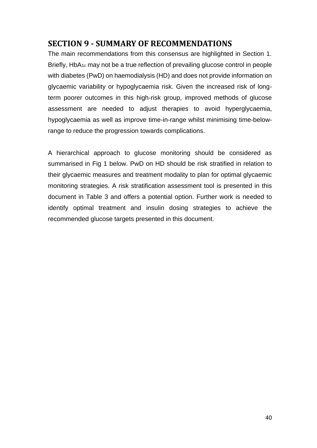# <span id="page-39-0"></span>**SECTION 9 - SUMMARY OF RECOMMENDATIONS**

The main recommendations from this consensus are highlighted in Section 1. Briefly, HbA<sub>1c</sub> may not be a true reflection of prevailing glucose control in people with diabetes (PwD) on haemodialysis (HD) and does not provide information on glycaemic variability or hypoglycaemia risk. Given the increased risk of longterm poorer outcomes in this high-risk group, improved methods of glucose assessment are needed to adjust therapies to avoid hyperglycaemia, hypoglycaemia as well as improve time-in-range whilst minimising time-belowrange to reduce the progression towards complications.

A hierarchical approach to glucose monitoring should be considered as summarised in Fig 1 below. PwD on HD should be risk stratified in relation to their glycaemic measures and treatment modality to plan for optimal glycaemic monitoring strategies. A risk stratification assessment tool is presented in this document in Table 3 and offers a potential option. Further work is needed to identify optimal treatment and insulin dosing strategies to achieve the recommended glucose targets presented in this document.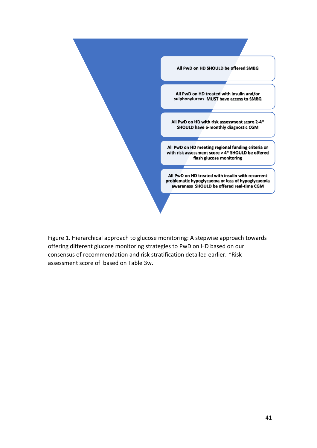

Figure 1. Hierarchical approach to glucose monitoring: A stepwise approach towards offering different glucose monitoring strategies to PwD on HD based on our consensus of recommendation and risk stratification detailed earlier. \*Risk assessment score of based on Table 3w.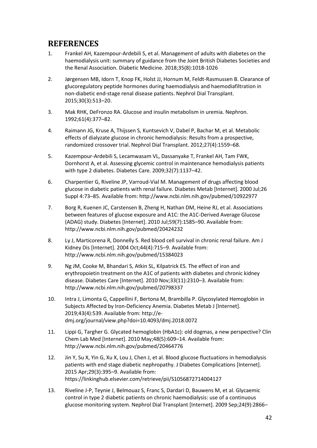# <span id="page-41-0"></span>**REFERENCES**

- 1. Frankel AH, Kazempour-Ardebili S, et al. Management of adults with diabetes on the haemodialysis unit: summary of guidance from the Joint British Diabetes Societies and the Renal Association. Diabetic Medicine. 2018;35(8):1018-1026
- 2. Jørgensen MB, Idorn T, Knop FK, Holst JJ, Hornum M, Feldt-Rasmussen B. Clearance of glucoregulatory peptide hormones during haemodialysis and haemodiafiltration in non-diabetic end-stage renal disease patients. Nephrol Dial Transplant. 2015;30(3):513–20.
- 3. Mak RHK, DeFronzo RA. Glucose and insulin metabolism in uremia. Nephron. 1992;61(4):377–82.
- 4. Raimann JG, Kruse A, Thijssen S, Kuntsevich V, Dabel P, Bachar M, et al. Metabolic effects of dialyzate glucose in chronic hemodialysis: Results from a prospective, randomized crossover trial. Nephrol Dial Transplant. 2012;27(4):1559–68.
- 5. Kazempour-Ardebili S, Lecamwasam VL, Dassanyake T, Frankel AH, Tam FWK, Dornhorst A, et al. Assessing glycemic control in maintenance hemodialysis patients with type 2 diabetes. Diabetes Care. 2009;32(7):1137–42.
- 6. Charpentier G, Riveline JP, Varroud-Vial M. Management of drugs affecting blood glucose in diabetic patients with renal failure. Diabetes Metab [Internet]. 2000 Jul;26 Suppl 4:73–85. Available from: http://www.ncbi.nlm.nih.gov/pubmed/10922977
- 7. Borg R, Kuenen JC, Carstensen B, Zheng H, Nathan DM, Heine RJ, et al. Associations between features of glucose exposure and A1C: the A1C-Derived Average Glucose (ADAG) study. Diabetes [Internet]. 2010 Jul;59(7):1585–90. Available from: http://www.ncbi.nlm.nih.gov/pubmed/20424232
- 8. Ly J, Marticorena R, Donnelly S. Red blood cell survival in chronic renal failure. Am J Kidney Dis [Internet]. 2004 Oct;44(4):715–9. Available from: http://www.ncbi.nlm.nih.gov/pubmed/15384023
- 9. Ng JM, Cooke M, Bhandari S, Atkin SL, Kilpatrick ES. The effect of iron and erythropoietin treatment on the A1C of patients with diabetes and chronic kidney disease. Diabetes Care [Internet]. 2010 Nov;33(11):2310–3. Available from: http://www.ncbi.nlm.nih.gov/pubmed/20798337
- 10. Intra J, Limonta G, Cappellini F, Bertona M, Brambilla P. Glycosylated Hemoglobin in Subjects Affected by Iron-Deficiency Anemia. Diabetes Metab J [Internet]. 2019;43(4):539. Available from: http://edmj.org/journal/view.php?doi=10.4093/dmj.2018.0072
- 11. Lippi G, Targher G. Glycated hemoglobin (HbA1c): old dogmas, a new perspective? Clin Chem Lab Med [Internet]. 2010 May;48(5):609–14. Available from: http://www.ncbi.nlm.nih.gov/pubmed/20464776
- 12. Jin Y, Su X, Yin G, Xu X, Lou J, Chen J, et al. Blood glucose fluctuations in hemodialysis patients with end stage diabetic nephropathy. J Diabetes Complications [Internet]. 2015 Apr;29(3):395–9. Available from: https://linkinghub.elsevier.com/retrieve/pii/S1056872714004127
- 13. Riveline J-P, Teynie J, Belmouaz S, Franc S, Dardari D, Bauwens M, et al. Glycaemic control in type 2 diabetic patients on chronic haemodialysis: use of a continuous glucose monitoring system. Nephrol Dial Transplant [Internet]. 2009 Sep;24(9):2866–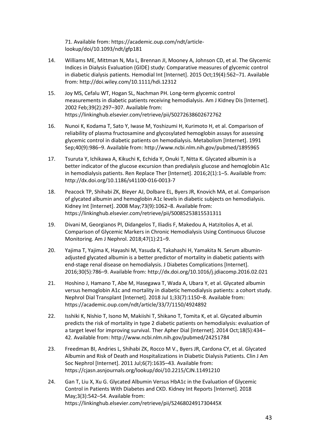71. Available from: https://academic.oup.com/ndt/articlelookup/doi/10.1093/ndt/gfp181

- 14. Williams ME, Mittman N, Ma L, Brennan JI, Mooney A, Johnson CD, et al. The Glycemic Indices in Dialysis Evaluation (GIDE) study: Comparative measures of glycemic control in diabetic dialysis patients. Hemodial Int [Internet]. 2015 Oct;19(4):562–71. Available from: http://doi.wiley.com/10.1111/hdi.12312
- 15. Joy MS, Cefalu WT, Hogan SL, Nachman PH. Long-term glycemic control measurements in diabetic patients receiving hemodialysis. Am J Kidney Dis [Internet]. 2002 Feb;39(2):297–307. Available from: https://linkinghub.elsevier.com/retrieve/pii/S0272638602672762
- 16. Nunoi K, Kodama T, Sato Y, Iwase M, Yoshizumi H, Kurimoto H, et al. Comparison of reliability of plasma fructosamine and glycosylated hemoglobin assays for assessing glycemic control in diabetic patients on hemodialysis. Metabolism [Internet]. 1991 Sep;40(9):986–9. Available from: http://www.ncbi.nlm.nih.gov/pubmed/1895965
- 17. Tsuruta Y, Ichikawa A, Kikuchi K, Echida Y, Onuki T, Nitta K. Glycated albumin is a better indicator of the glucose excursion than predialysis glucose and hemoglobin A1c in hemodialysis patients. Ren Replace Ther [Internet]. 2016;2(1):1–5. Available from: http://dx.doi.org/10.1186/s41100-016-0013-7
- 18. Peacock TP, Shihabi ZK, Bleyer AJ, Dolbare EL, Byers JR, Knovich MA, et al. Comparison of glycated albumin and hemoglobin A1c levels in diabetic subjects on hemodialysis. Kidney Int [Internet]. 2008 May;73(9):1062–8. Available from: https://linkinghub.elsevier.com/retrieve/pii/S0085253815531311
- 19. Divani M, Georgianos PI, Didangelos T, Iliadis F, Makedou A, Hatzitolios A, et al. Comparison of Glycemic Markers in Chronic Hemodialysis Using Continuous Glucose Monitoring. Am J Nephrol. 2018;47(1):21–9.
- 20. Yajima T, Yajima K, Hayashi M, Yasuda K, Takahashi H, Yamakita N. Serum albuminadjusted glycated albumin is a better predictor of mortality in diabetic patients with end-stage renal disease on hemodialysis. J Diabetes Complications [Internet]. 2016;30(5):786–9. Available from: http://dx.doi.org/10.1016/j.jdiacomp.2016.02.021
- 21. Hoshino J, Hamano T, Abe M, Hasegawa T, Wada A, Ubara Y, et al. Glycated albumin versus hemoglobin A1c and mortality in diabetic hemodialysis patients: a cohort study. Nephrol Dial Transplant [Internet]. 2018 Jul 1;33(7):1150–8. Available from: https://academic.oup.com/ndt/article/33/7/1150/4924892
- 22. Isshiki K, Nishio T, Isono M, Makiishi T, Shikano T, Tomita K, et al. Glycated albumin predicts the risk of mortality in type 2 diabetic patients on hemodialysis: evaluation of a target level for improving survival. Ther Apher Dial [Internet]. 2014 Oct;18(5):434– 42. Available from: http://www.ncbi.nlm.nih.gov/pubmed/24251784
- 23. Freedman BI, Andries L, Shihabi ZK, Rocco M V., Byers JR, Cardona CY, et al. Glycated Albumin and Risk of Death and Hospitalizations in Diabetic Dialysis Patients. Clin J Am Soc Nephrol [Internet]. 2011 Jul;6(7):1635–43. Available from: https://cjasn.asnjournals.org/lookup/doi/10.2215/CJN.11491210
- 24. Gan T, Liu X, Xu G. Glycated Albumin Versus HbA1c in the Evaluation of Glycemic Control in Patients With Diabetes and CKD. Kidney Int Reports [Internet]. 2018 May;3(3):542–54. Available from: https://linkinghub.elsevier.com/retrieve/pii/S246802491730445X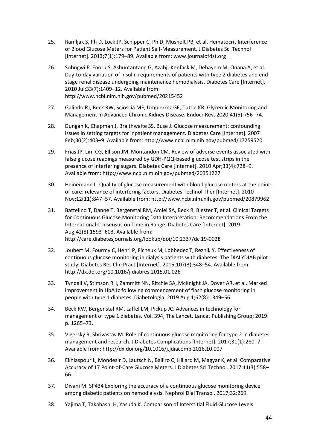- 25. Ramljak S, Ph D, Lock JP, Schipper C, Ph D, Musholt PB, et al. Hematocrit Interference of Blood Glucose Meters for Patient Self-Measurement. J Diabetes Sci Technol [Internet]. 2013;7(1):179–89. Available from: www.journalofdst.org
- 26. Sobngwi E, Enoru S, Ashuntantang G, Azabji-Kenfack M, Dehayem M, Onana A, et al. Day-to-day variation of insulin requirements of patients with type 2 diabetes and endstage renal disease undergoing maintenance hemodialysis. Diabetes Care [Internet]. 2010 Jul;33(7):1409–12. Available from: http://www.ncbi.nlm.nih.gov/pubmed/20215452
- 27. Galindo RJ, Beck RW, Scioscia MF, Umpierrez GE, Tuttle KR. Glycemic Monitoring and Management in Advanced Chronic Kidney Disease. Endocr Rev. 2020;41(5):756–74.
- 28. Dungan K, Chapman J, Braithwaite SS, Buse J. Glucose measurement: confounding issues in setting targets for inpatient management. Diabetes Care [Internet]. 2007 Feb;30(2):403–9. Available from: http://www.ncbi.nlm.nih.gov/pubmed/17259520
- 29. Frias JP, Lim CG, Ellison JM, Montandon CM. Review of adverse events associated with false glucose readings measured by GDH-PQQ-based glucose test strips in the presence of interfering sugars. Diabetes Care [Internet]. 2010 Apr;33(4):728–9. Available from: http://www.ncbi.nlm.nih.gov/pubmed/20351227
- 30. Heinemann L. Quality of glucose measurement with blood glucose meters at the pointof-care: relevance of interfering factors. Diabetes Technol Ther [Internet]. 2010 Nov;12(11):847–57. Available from: http://www.ncbi.nlm.nih.gov/pubmed/20879962
- 31. Battelino T, Danne T, Bergenstal RM, Amiel SA, Beck R, Biester T, et al. Clinical Targets for Continuous Glucose Monitoring Data Interpretation: Recommendations From the International Consensus on Time in Range. Diabetes Care [Internet]. 2019 Aug;42(8):1593–603. Available from: http://care.diabetesjournals.org/lookup/doi/10.2337/dci19-0028
- 32. Joubert M, Fourmy C, Henri P, Ficheux M, Lobbedez T, Reznik Y. Effectiveness of continuous glucose monitoring in dialysis patients with diabetes: The DIALYDIAB pilot study. Diabetes Res Clin Pract [Internet]. 2015;107(3):348–54. Available from: http://dx.doi.org/10.1016/j.diabres.2015.01.026
- 33. Tyndall V, Stimson RH, Zammitt NN, Ritchie SA, McKnight JA, Dover AR, et al. Marked improvement in HbA1c following commencement of flash glucose monitoring in people with type 1 diabetes. Diabetologia. 2019 Aug 1;62(8):1349–56.
- 34. Beck RW, Bergenstal RM, Laffel LM, Pickup JC. Advances in technology for management of type 1 diabetes. Vol. 394, The Lancet. Lancet Publishing Group; 2019. p. 1265–73.
- 35. Vigersky R, Shrivastav M. Role of continuous glucose monitoring for type 2 in diabetes management and research. J Diabetes Complications [Internet]. 2017;31(1):280–7. Available from: http://dx.doi.org/10.1016/j.jdiacomp.2016.10.007
- 36. Ekhlaspour L, Mondesir D, Lautsch N, Balliro C, Hillard M, Magyar K, et al. Comparative Accuracy of 17 Point-of-Care Glucose Meters. J Diabetes Sci Technol. 2017;11(3):558– 66.
- 37. Divani M. SP434 Exploring the accuracy of a continuous glucose monitoring device among diabetic patients on hemodialysis. Nephrol Dial Transpl. 2017;32:269.
- 38. Yajima T, Takahashi H, Yasuda K. Comparison of Interstitial Fluid Glucose Levels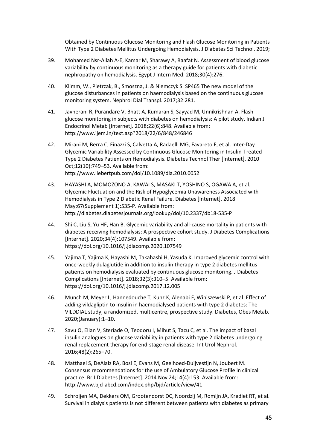Obtained by Continuous Glucose Monitoring and Flash Glucose Monitoring in Patients With Type 2 Diabetes Mellitus Undergoing Hemodialysis. J Diabetes Sci Technol. 2019;

- 39. Mohamed Nsr-Allah A-E, Kamar M, Sharawy A, Raafat N. Assessment of blood glucose variability by continuous monitoring as a therapy guide for patients with diabetic nephropathy on hemodialysis. Egypt J Intern Med. 2018;30(4):276.
- 40. Klimm, W., Pietrzak, B., Smoszna, J. & Niemczyk S. SP465 The new model of the glucose disturbances in patients on haemodialysis based on the continuous glucose monitoring system. Nephrol Dial Transpl. 2017;32:281.
- 41. Javherani R, Purandare V, Bhatt A, Kumaran S, Sayyad M, Unnikrishnan A. Flash glucose monitoring in subjects with diabetes on hemodialysis: A pilot study. Indian J Endocrinol Metab [Internet]. 2018;22(6):848. Available from: http://www.ijem.in/text.asp?2018/22/6/848/246846
- 42. Mirani M, Berra C, Finazzi S, Calvetta A, Radaelli MG, Favareto F, et al. Inter-Day Glycemic Variability Assessed by Continuous Glucose Monitoring in Insulin-Treated Type 2 Diabetes Patients on Hemodialysis. Diabetes Technol Ther [Internet]. 2010 Oct;12(10):749–53. Available from: http://www.liebertpub.com/doi/10.1089/dia.2010.0052
- 43. HAYASHI A, MOMOZONO A, KAWAI S, MASAKI T, YOSHINO S, OGAWA A, et al. Glycemic Fluctuation and the Risk of Hypoglycemia Unawareness Associated with Hemodialysis in Type 2 Diabetic Renal Failure. Diabetes [Internet]. 2018 May;67(Supplement 1):535-P. Available from: http://diabetes.diabetesjournals.org/lookup/doi/10.2337/db18-535-P
- 44. Shi C, Liu S, Yu HF, Han B. Glycemic variability and all-cause mortality in patients with diabetes receiving hemodialysis: A prospective cohort study. J Diabetes Complications [Internet]. 2020;34(4):107549. Available from: https://doi.org/10.1016/j.jdiacomp.2020.107549
- 45. Yajima T, Yajima K, Hayashi M, Takahashi H, Yasuda K. Improved glycemic control with once-weekly dulaglutide in addition to insulin therapy in type 2 diabetes mellitus patients on hemodialysis evaluated by continuous glucose monitoring. J Diabetes Complications [Internet]. 2018;32(3):310–5. Available from: https://doi.org/10.1016/j.jdiacomp.2017.12.005
- 46. Munch M, Meyer L, Hannedouche T, Kunz K, Alenabi F, Winiszewski P, et al. Effect of adding vildagliptin to insulin in haemodialysed patients with type 2 diabetes: The VILDDIAL study, a randomized, multicentre, prospective study. Diabetes, Obes Metab. 2020;(January):1–10.
- 47. Savu O, Elian V, Steriade O, Teodoru I, Mihut S, Tacu C, et al. The impact of basal insulin analogues on glucose variability in patients with type 2 diabetes undergoing renal replacement therapy for end-stage renal disease. Int Urol Nephrol. 2016;48(2):265–70.
- 48. Matthaei S, DeAlaiz RA, Bosi E, Evans M, Geelhoed-Duijvestijn N, Joubert M. Consensus recommendations for the use of Ambulatory Glucose Profile in clinical practice. Br J Diabetes [Internet]. 2014 Nov 24;14(4):153. Available from: http://www.bjd-abcd.com/index.php/bjd/article/view/41
- 49. Schroijen MA, Dekkers OM, Grootendorst DC, Noordzij M, Romijn JA, Krediet RT, et al. Survival in dialysis patients is not different between patients with diabetes as primary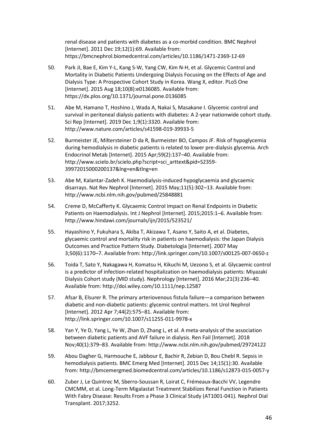renal disease and patients with diabetes as a co-morbid condition. BMC Nephrol [Internet]. 2011 Dec 19;12(1):69. Available from: https://bmcnephrol.biomedcentral.com/articles/10.1186/1471-2369-12-69

- 50. Park JI, Bae E, Kim Y-L, Kang S-W, Yang CW, Kim N-H, et al. Glycemic Control and Mortality in Diabetic Patients Undergoing Dialysis Focusing on the Effects of Age and Dialysis Type: A Prospective Cohort Study in Korea. Wang X, editor. PLoS One [Internet]. 2015 Aug 18;10(8):e0136085. Available from: https://dx.plos.org/10.1371/journal.pone.0136085
- 51. Abe M, Hamano T, Hoshino J, Wada A, Nakai S, Masakane I. Glycemic control and survival in peritoneal dialysis patients with diabetes: A 2-year nationwide cohort study. Sci Rep [Internet]. 2019 Dec 1;9(1):3320. Available from: http://www.nature.com/articles/s41598-019-39933-5
- 52. Burmeister JE, Miltersteiner D da R, Burmeister BO, Campos JF. Risk of hypoglycemia during hemodialysis in diabetic patients is related to lower pre-dialysis glycemia. Arch Endocrinol Metab [Internet]. 2015 Apr;59(2):137–40. Available from: http://www.scielo.br/scielo.php?script=sci\_arttext&pid=S2359- 39972015000200137&lng=en&tlng=en
- 53. Abe M, Kalantar-Zadeh K. Haemodialysis-induced hypoglycaemia and glycaemic disarrays. Nat Rev Nephrol [Internet]. 2015 May;11(5):302–13. Available from: http://www.ncbi.nlm.nih.gov/pubmed/25848881
- 54. Creme D, McCafferty K. Glycaemic Control Impact on Renal Endpoints in Diabetic Patients on Haemodialysis. Int J Nephrol [Internet]. 2015;2015:1–6. Available from: http://www.hindawi.com/journals/ijn/2015/523521/
- 55. Hayashino Y, Fukuhara S, Akiba T, Akizawa T, Asano Y, Saito A, et al. Diabetes, glycaemic control and mortality risk in patients on haemodialysis: the Japan Dialysis Outcomes and Practice Pattern Study. Diabetologia [Internet]. 2007 May 3;50(6):1170–7. Available from: http://link.springer.com/10.1007/s00125-007-0650-z
- 56. Toida T, Sato Y, Nakagawa H, Komatsu H, Kikuchi M, Uezono S, et al. Glycaemic control is a predictor of infection-related hospitalization on haemodialysis patients: Miyazaki Dialysis Cohort study (MID study). Nephrology [Internet]. 2016 Mar;21(3):236–40. Available from: http://doi.wiley.com/10.1111/nep.12587
- 57. Afsar B, Elsurer R. The primary arteriovenous fistula failure—a comparison between diabetic and non-diabetic patients: glycemic control matters. Int Urol Nephrol [Internet]. 2012 Apr 7;44(2):575–81. Available from: http://link.springer.com/10.1007/s11255-011-9978-x
- 58. Yan Y, Ye D, Yang L, Ye W, Zhan D, Zhang L, et al. A meta-analysis of the association between diabetic patients and AVF failure in dialysis. Ren Fail [Internet]. 2018 Nov;40(1):379–83. Available from: http://www.ncbi.nlm.nih.gov/pubmed/29724122
- 59. Abou Dagher G, Harmouche E, Jabbour E, Bachir R, Zebian D, Bou Chebl R. Sepsis in hemodialysis patients. BMC Emerg Med [Internet]. 2015 Dec 14;15(1):30. Available from: http://bmcemergmed.biomedcentral.com/articles/10.1186/s12873-015-0057-y
- 60. Zuber J, Le Quintrec M, Sberro-Soussan R, Loirat C, Frémeaux-Bacchi VV, Legendre CMCMM, et al. Long-Term Migalastat Treatment Stabilizes Renal Function in Patients With Fabry Disease: Results From a Phase 3 Clinical Study (AT1001-041). Nephrol Dial Transplant. 2017;3252.